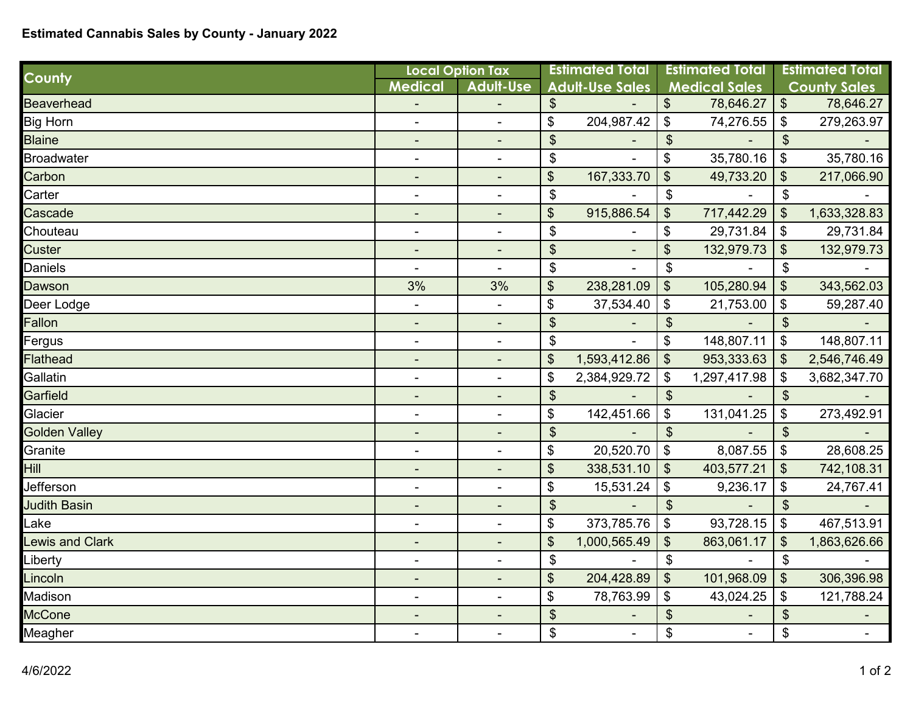## **Estimated Cannabis Sales by County - January 2022**

| <b>County</b>        | <b>Local Option Tax</b>      |                          | <b>Estimated Total</b>     |                        | <b>Estimated Total</b>     |                      | <b>Estimated Total</b>       |                     |
|----------------------|------------------------------|--------------------------|----------------------------|------------------------|----------------------------|----------------------|------------------------------|---------------------|
|                      | <b>Medical</b>               | <b>Adult-Use</b>         |                            | <b>Adult-Use Sales</b> |                            | <b>Medical Sales</b> |                              | <b>County Sales</b> |
| <b>Beaverhead</b>    |                              |                          | \$                         |                        | \$                         | 78,646.27            | $\sqrt[6]{\frac{1}{2}}$      | 78,646.27           |
| <b>Big Horn</b>      |                              |                          | \$                         | 204,987.42             | $\boldsymbol{\mathsf{\$}}$ | 74,276.55            | $\boldsymbol{\mathsf{S}}$    | 279,263.97          |
| <b>Blaine</b>        | ٠                            |                          | \$                         |                        | $\boldsymbol{\mathsf{S}}$  |                      | $\mathfrak{S}$               |                     |
| <b>Broadwater</b>    |                              | $\blacksquare$           | \$                         |                        | \$                         | 35,780.16            | $\boldsymbol{\hat{\varphi}}$ | 35,780.16           |
| Carbon               |                              |                          | \$                         | 167,333.70             | \$                         | 49,733.20            | $\boldsymbol{\mathsf{S}}$    | 217,066.90          |
| Carter               | $\qquad \qquad \blacksquare$ |                          | \$                         |                        | $\boldsymbol{\mathsf{\$}}$ |                      | $\mathfrak{S}$               |                     |
| Cascade              |                              |                          | \$                         | 915,886.54             | $\frac{1}{2}$              | 717,442.29           | $\boldsymbol{\mathsf{S}}$    | 1,633,328.83        |
| Chouteau             | $\blacksquare$               | $\overline{a}$           | \$                         |                        | \$                         | 29,731.84            | $\boldsymbol{\hat{\phi}}$    | 29,731.84           |
| Custer               | ٠                            |                          | $\boldsymbol{\mathsf{S}}$  |                        | \$                         | 132,979.73           | $\boldsymbol{\mathsf{S}}$    | 132,979.73          |
| Daniels              |                              | $\blacksquare$           | \$                         |                        | \$                         |                      | $\boldsymbol{\hat{\phi}}$    |                     |
| Dawson               | 3%                           | 3%                       | \$                         | 238,281.09             | $\boldsymbol{\mathsf{S}}$  | 105,280.94           | $\sqrt[6]{\frac{1}{2}}$      | 343,562.03          |
| Deer Lodge           | $\overline{\phantom{0}}$     | $\blacksquare$           | \$                         | 37,534.40              | \$                         | 21,753.00            | \$                           | 59,287.40           |
| Fallon               | $\overline{\phantom{a}}$     | $\blacksquare$           | $\boldsymbol{\hat{\phi}}$  |                        | $\boldsymbol{\theta}$      |                      | $\boldsymbol{\mathsf{S}}$    |                     |
| Fergus               | $\blacksquare$               | $\blacksquare$           | \$                         |                        | \$                         | 148,807.11           | $\boldsymbol{\mathsf{\$}}$   | 148,807.11          |
| <b>Flathead</b>      | $\blacksquare$               | $\overline{\phantom{a}}$ | \$                         | 1,593,412.86           | $\mathfrak{S}$             | 953,333.63           | $\mathfrak{S}$               | 2,546,746.49        |
| Gallatin             |                              |                          | \$                         | 2,384,929.72           | $\boldsymbol{\hat{\phi}}$  | 1,297,417.98         | $\boldsymbol{\mathsf{\$}}$   | 3,682,347.70        |
| Garfield             |                              |                          | $\boldsymbol{\theta}$      |                        | $\boldsymbol{\mathsf{\$}}$ |                      | $\boldsymbol{\mathsf{\$}}$   |                     |
| Glacier              |                              | $\overline{a}$           | \$                         | 142,451.66             | $\boldsymbol{\mathsf{\$}}$ | 131,041.25           | \$                           | 273,492.91          |
| <b>Golden Valley</b> |                              |                          | $\boldsymbol{\mathsf{S}}$  |                        | $\boldsymbol{\mathsf{S}}$  |                      | $\boldsymbol{\mathsf{S}}$    |                     |
| Granite              | $\blacksquare$               |                          | \$                         | 20,520.70              | $\boldsymbol{\theta}$      | 8,087.55             | $\boldsymbol{\theta}$        | 28,608.25           |
| Hill                 | $\overline{\phantom{a}}$     | $\blacksquare$           | \$                         | 338,531.10             | $\boldsymbol{\mathsf{S}}$  | 403,577.21           | $\sqrt[6]{\frac{1}{2}}$      | 742,108.31          |
| Jefferson            |                              | ÷,                       | \$                         | 15,531.24              | \$                         | 9,236.17             | \$                           | 24,767.41           |
| <b>Judith Basin</b>  |                              |                          | $\boldsymbol{\mathsf{\$}}$ |                        | $\frac{1}{2}$              |                      | $\mathfrak{S}$               |                     |
| Lake                 |                              | $\blacksquare$           | \$                         | 373,785.76             | $\boldsymbol{\mathsf{S}}$  | 93,728.15            | \$                           | 467,513.91          |
| Lewis and Clark      | ٠                            |                          | \$                         | 1,000,565.49           | \$                         | 863,061.17           | \$                           | 1,863,626.66        |
| _iberty              | ۰                            |                          | \$                         |                        | $\boldsymbol{\hat{\phi}}$  |                      | $\boldsymbol{\mathsf{\$}}$   |                     |
| Lincoln              |                              |                          | \$                         | 204,428.89             | $\boldsymbol{\mathsf{S}}$  | 101,968.09           | $\boldsymbol{\mathsf{S}}$    | 306,396.98          |
| Madison              | $\blacksquare$               | L.                       | \$                         | 78,763.99              | $\boldsymbol{\mathsf{S}}$  | 43,024.25            | \$                           | 121,788.24          |
| <b>McCone</b>        |                              |                          | $\boldsymbol{\theta}$      |                        | $\boldsymbol{\theta}$      |                      | $\frac{1}{2}$                |                     |
| Meagher              |                              | $\blacksquare$           | \$                         | $\blacksquare$         | \$                         |                      | $\boldsymbol{\hat{\phi}}$    |                     |